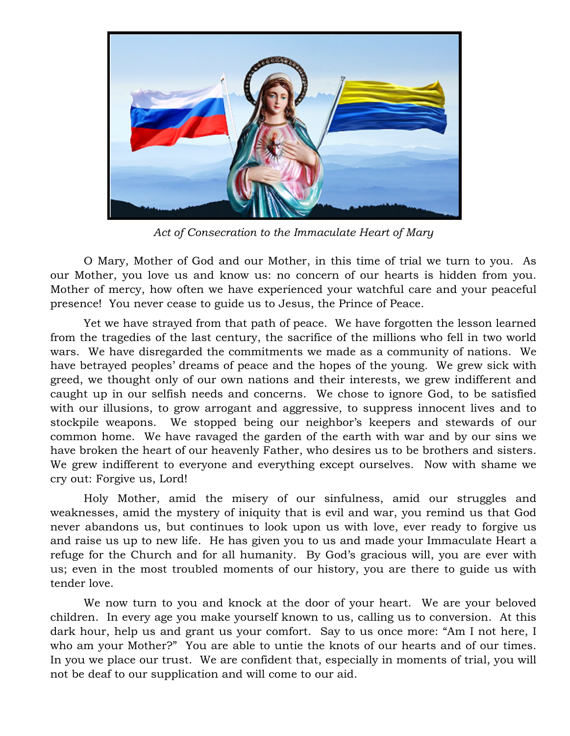

*Act of Consecration to the Immaculate Heart of Mary* 

O Mary, Mother of God and our Mother, in this time of trial we turn to you. As our Mother, you love us and know us: no concern of our hearts is hidden from you. Mother of mercy, how often we have experienced your watchful care and your peaceful presence! You never cease to guide us to Jesus, the Prince of Peace.

Yet we have strayed from that path of peace. We have forgotten the lesson learned from the tragedies of the last century, the sacrifice of the millions who fell in two world wars. We have disregarded the commitments we made as a community of nations. We have betrayed peoples' dreams of peace and the hopes of the young. We grew sick with greed, we thought only of our own nations and their interests, we grew indifferent and caught up in our selfish needs and concerns. We chose to ignore God, to be satisfied with our illusions, to grow arrogant and aggressive, to suppress innocent lives and to stockpile weapons. We stopped being our neighbor's keepers and stewards of our common home. We have ravaged the garden of the earth with war and by our sins we have broken the heart of our heavenly Father, who desires us to be brothers and sisters. We grew indifferent to everyone and everything except ourselves. Now with shame we cry out: Forgive us, Lord!

Holy Mother, amid the misery of our sinfulness, amid our struggles and weaknesses, amid the mystery of iniquity that is evil and war, you remind us that God never abandons us, but continues to look upon us with love, ever ready to forgive us and raise us up to new life. He has given you to us and made your Immaculate Heart a refuge for the Church and for all humanity. By God's gracious will, you are ever with us; even in the most troubled moments of our history, you are there to guide us with tender love.

We now turn to you and knock at the door of your heart. We are your beloved children. In every age you make yourself known to us, calling us to conversion. At this dark hour, help us and grant us your comfort. Say to us once more: "Am I not here, I who am your Mother?" You are able to untie the knots of our hearts and of our times. In you we place our trust. We are confident that, especially in moments of trial, you will not be deaf to our supplication and will come to our aid.